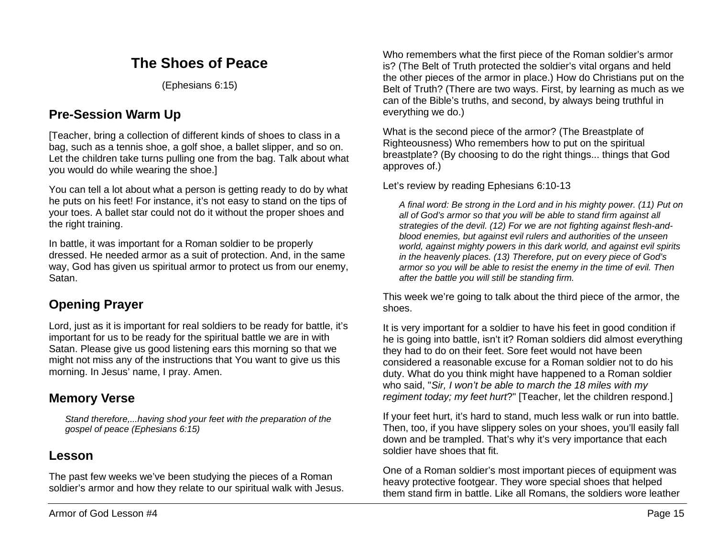# **The Shoes of Peace**

(Ephesians 6:15)

# **Pre-Session Warm Up**

[Teacher, bring a collection of different kinds of shoes to class in a bag, such as a tennis shoe, a golf shoe, a ballet slipper, and so on. Let the children take turns pulling one from the bag. Talk about what you would do while wearing the shoe.]

You can tell a lot about what a person is getting ready to do by what he puts on his feet! For instance, it's not easy to stand on the tips of your toes. A ballet star could not do it without the proper shoes and the right training.

In battle, it was important for a Roman soldier to be properly dressed. He needed armor as a suit of protection. And, in the same way, God has given us spiritual armor to protect us from our enemy, Satan.

### **Opening Prayer**

Lord, just as it is important for real soldiers to be ready for battle, it's important for us to be ready for the spiritual battle we are in with Satan. Please give us good listening ears this morning so that we might not miss any of the instructions that You want to give us this morning. In Jesus' name, I pray. Amen.

#### **Memory Verse**

*Stand therefore,...having shod your feet with the preparation of the gospel of peace (Ephesians 6:15)*

#### **Lesson**

The past few weeks we've been studying the pieces of a Roman soldier's armor and how they relate to our spiritual walk with Jesus.

Who remembers what the first piece of the Roman soldier's armor is? (The Belt of Truth protected the soldier's vital organs and held the other pieces of the armor in place.) How do Christians put on the Belt of Truth? (There are two ways. First, by learning as much as we can of the Bible's truths, and second, by always being truthful in everything we do.)

What is the second piece of the armor? (The Breastplate of Righteousness) Who remembers how to put on the spiritual breastplate? (By choosing to do the right things... things that God approves of.)

Let's review by reading Ephesians 6:10-13

*A final word: Be strong in the Lord and in his mighty power. (11) Put on all of God's armor so that you will be able to stand firm against all strategies of the devil. (12) For we are not fighting against flesh-andblood enemies, but against evil rulers and authorities of the unseen world, against mighty powers in this dark world, and against evil spirits in the heavenly places. (13) Therefore, put on every piece of God's armor so you will be able to resist the enemy in the time of evil. Then after the battle you will still be standing firm.*

This week we're going to talk about the third piece of the armor, the shoes.

It is very important for a soldier to have his feet in good condition if he is going into battle, isn't it? Roman soldiers did almost everything they had to do on their feet. Sore feet would not have been considered a reasonable excuse for a Roman soldier not to do his duty. What do you think might have happened to a Roman soldier who said, "*Sir, I won't be able to march the 18 miles with my regiment today; my feet hurt*?" [Teacher, let the children respond.]

If your feet hurt, it's hard to stand, much less walk or run into battle. Then, too, if you have slippery soles on your shoes, you'll easily fall down and be trampled. That's why it's very importance that each soldier have shoes that fit.

One of a Roman soldier's most important pieces of equipment was heavy protective footgear. They wore special shoes that helped them stand firm in battle. Like all Romans, the soldiers wore leather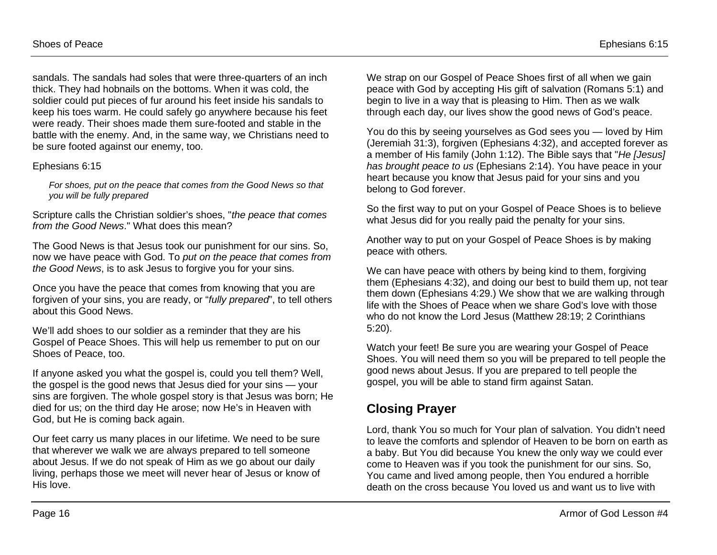sandals. The sandals had soles that were three-quarters of an inch thick. They had hobnails on the bottoms. When it was cold, the soldier could put pieces of fur around his feet inside his sandals to keep his toes warm. He could safely go anywhere because his feet were ready. Their shoes made them sure-footed and stable in the battle with the enemy. And, in the same way, we Christians need to be sure footed against our enemy, too.

#### Ephesians 6:15

*For shoes, put on the peace that comes from the Good News so that you will be fully prepared*

Scripture calls the Christian soldier's shoes, "*the peace that comes from the Good News*." What does this mean?

The Good News is that Jesus took our punishment for our sins. So, now we have peace with God. To *put on the peace that comes from the Good News*, is to ask Jesus to forgive you for your sins.

Once you have the peace that comes from knowing that you are forgiven of your sins, you are ready, or "*fully prepared*", to tell others about this Good News.

We'll add shoes to our soldier as a reminder that they are his Gospel of Peace Shoes. This will help us remember to put on our Shoes of Peace, too.

If anyone asked you what the gospel is, could you tell them? Well, the gospel is the good news that Jesus died for your sins — your sins are forgiven. The whole gospel story is that Jesus was born; He died for us; on the third day He arose; now He's in Heaven with God, but He is coming back again.

Our feet carry us many places in our lifetime. We need to be sure that wherever we walk we are always prepared to tell someone about Jesus. If we do not speak of Him as we go about our daily living, perhaps those we meet will never hear of Jesus or know of His love.

We strap on our Gospel of Peace Shoes first of all when we gain peace with God by accepting His gift of salvation (Romans 5:1) and begin to live in a way that is pleasing to Him. Then as we walk through each day, our lives show the good news of God's peace.

You do this by seeing yourselves as God sees you — loved by Him (Jeremiah 31:3), forgiven (Ephesians 4:32), and accepted forever as a member of His family (John 1:12). The Bible says that "*He [Jesus] has brought peace to us* (Ephesians 2:14). You have peace in your heart because you know that Jesus paid for your sins and you belong to God forever.

So the first way to put on your Gospel of Peace Shoes is to believe what Jesus did for you really paid the penalty for your sins.

Another way to put on your Gospel of Peace Shoes is by making peace with others.

We can have peace with others by being kind to them, forgiving them (Ephesians 4:32), and doing our best to build them up, not tear them down (Ephesians 4:29.) We show that we are walking through life with the Shoes of Peace when we share God's love with those who do not know the Lord Jesus (Matthew 28:19; 2 Corinthians 5:20).

Watch your feet! Be sure you are wearing your Gospel of Peace Shoes. You will need them so you will be prepared to tell people the good news about Jesus. If you are prepared to tell people the gospel, you will be able to stand firm against Satan.

# **Closing Prayer**

Lord, thank You so much for Your plan of salvation. You didn't need to leave the comforts and splendor of Heaven to be born on earth as a baby. But You did because You knew the only way we could ever come to Heaven was if you took the punishment for our sins. So, You came and lived among people, then You endured a horrible death on the cross because You loved us and want us to live with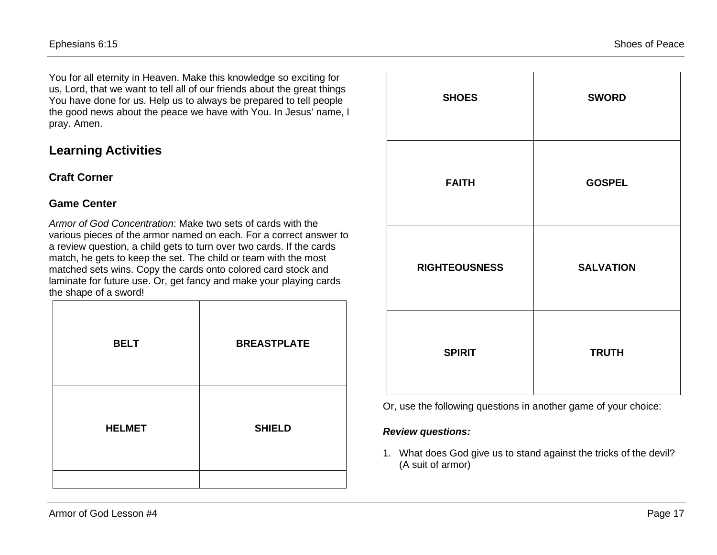You for all eternity in Heaven. Make this knowledge so exciting for us, Lord, that we want to tell all of our friends about the great things You have done for us. Help us to always be prepared to tell people the good news about the peace we have with You. In Jesus' name, I pray. Amen.

## **Learning Activities**

#### **Craft Corner**

#### **Game Center**

*Armor of God Concentration*: Make two sets of cards with the various pieces of the armor named on each. For a correct answer to a review question, a child gets to turn over two cards. If the cards match, he gets to keep the set. The child or team with the most matched sets wins. Copy the cards onto colored card stock and laminate for future use. Or, get fancy and make your playing cards the shape of a sword!

| <b>BELT</b>   | <b>BREASTPLATE</b> |
|---------------|--------------------|
| <b>HELMET</b> | <b>SHIELD</b>      |

| <b>SHOES</b>         | <b>SWORD</b>     |
|----------------------|------------------|
| <b>FAITH</b>         | <b>GOSPEL</b>    |
| <b>RIGHTEOUSNESS</b> | <b>SALVATION</b> |
| <b>SPIRIT</b>        | <b>TRUTH</b>     |

Or, use the following questions in another game of your choice:

#### *Review questions:*

1. What does God give us to stand against the tricks of the devil? (A suit of armor)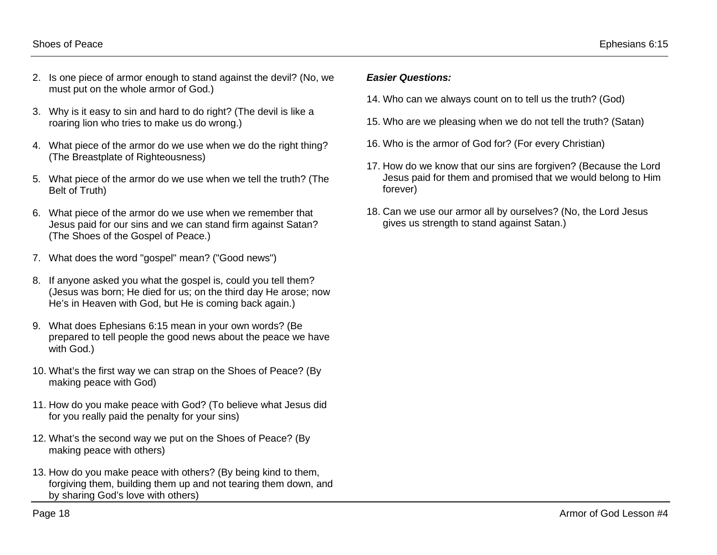- Shoes of Peace Ephesians 6:15
- 2. Is one piece of armor enough to stand against the devil? (No, we must put on the whole armor of God.)
- 3. Why is it easy to sin and hard to do right? (The devil is like a roaring lion who tries to make us do wrong.)
- 4. What piece of the armor do we use when we do the right thing? (The Breastplate of Righteousness)
- 5. What piece of the armor do we use when we tell the truth? (The Belt of Truth)
- 6. What piece of the armor do we use when we remember that Jesus paid for our sins and we can stand firm against Satan? (The Shoes of the Gospel of Peace.)
- 7. What does the word "gospel" mean? ("Good news")
- 8. If anyone asked you what the gospel is, could you tell them? (Jesus was born; He died for us; on the third day He arose; now He's in Heaven with God, but He is coming back again.)
- 9. What does Ephesians 6:15 mean in your own words? (Be prepared to tell people the good news about the peace we have with God.)
- 10. What's the first way we can strap on the Shoes of Peace? (By making peace with God)
- 11. How do you make peace with God? (To believe what Jesus did for you really paid the penalty for your sins)
- 12. What's the second way we put on the Shoes of Peace? (By making peace with others)
- 13. How do you make peace with others? (By being kind to them, forgiving them, building them up and not tearing them down, and by sharing God's love with others)

#### *Easier Questions:*

- 14. Who can we always count on to tell us the truth? (God)
- 15. Who are we pleasing when we do not tell the truth? (Satan)
- 16. Who is the armor of God for? (For every Christian)
- 17. How do we know that our sins are forgiven? (Because the Lord Jesus paid for them and promised that we would belong to Him forever)
- 18. Can we use our armor all by ourselves? (No, the Lord Jesus gives us strength to stand against Satan.)